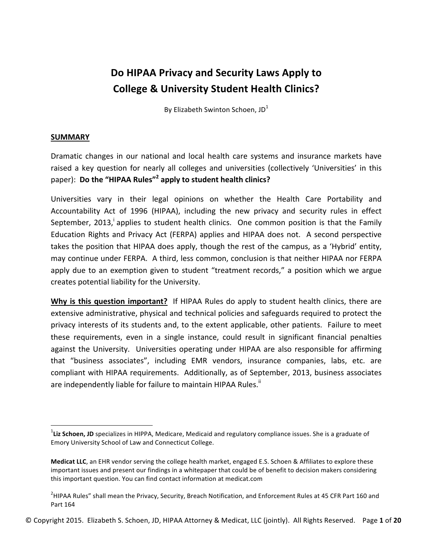# Do HIPAA Privacy and Security Laws Apply to **College & University Student Health Clinics?**

By Elizabeth Swinton Schoen,  $JD<sup>1</sup>$ 

#### **SUMMARY**

<u> Andrew Maria (1989)</u>

Dramatic changes in our national and local health care systems and insurance markets have raised a key question for nearly all colleges and universities (collectively 'Universities' in this paper): Do the "HIPAA Rules"<sup>2</sup> apply to student health clinics?

Universities vary in their legal opinions on whether the Health Care Portability and Accountability Act of 1996 (HIPAA), including the new privacy and security rules in effect September, 2013, applies to student health clinics. One common position is that the Family Education Rights and Privacy Act (FERPA) applies and HIPAA does not. A second perspective takes the position that HIPAA does apply, though the rest of the campus, as a 'Hybrid' entity, may continue under FERPA. A third, less common, conclusion is that neither HIPAA nor FERPA apply due to an exemption given to student "treatment records," a position which we argue creates potential liability for the University.

**Why is this question important?** If HIPAA Rules do apply to student health clinics, there are extensive administrative, physical and technical policies and safeguards required to protect the privacy interests of its students and, to the extent applicable, other patients. Failure to meet these requirements, even in a single instance, could result in significant financial penalties against the University. Universities operating under HIPAA are also responsible for affirming that "business associates", including EMR vendors, insurance companies, labs, etc. are compliant with HIPAA requirements. Additionally, as of September, 2013, business associates are independently liable for failure to maintain HIPAA Rules."

<sup>&</sup>lt;sup>1</sup>Liz Schoen, JD specializes in HIPPA, Medicare, Medicaid and regulatory compliance issues. She is a graduate of Emory University School of Law and Connecticut College.

**Medicat LLC**, an EHR vendor serving the college health market, engaged E.S. Schoen & Affiliates to explore these important issues and present our findings in a whitepaper that could be of benefit to decision makers considering this important question. You can find contact information at medicat.com

 $^2$ HIPAA Rules" shall mean the Privacy, Security, Breach Notification, and Enforcement Rules at 45 CFR Part 160 and Part 164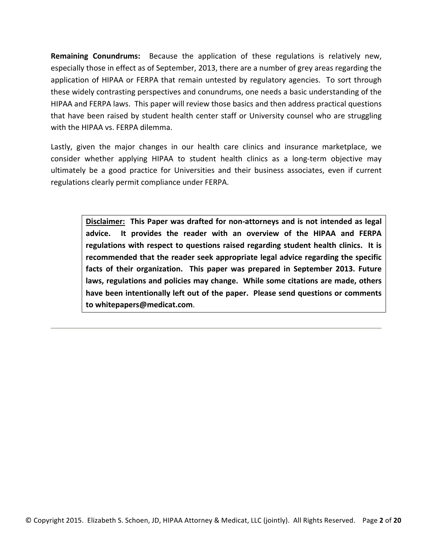**Remaining Conundrums:** Because the application of these regulations is relatively new, especially those in effect as of September, 2013, there are a number of grey areas regarding the application of HIPAA or FERPA that remain untested by regulatory agencies. To sort through these widely contrasting perspectives and conundrums, one needs a basic understanding of the HIPAA and FERPA laws. This paper will review those basics and then address practical questions that have been raised by student health center staff or University counsel who are struggling with the HIPAA vs. FERPA dilemma.

Lastly, given the major changes in our health care clinics and insurance marketplace, we consider whether applying HIPAA to student health clinics as a long-term objective may ultimately be a good practice for Universities and their business associates, even if current regulations clearly permit compliance under FERPA.

> Disclaimer: This Paper was drafted for non-attorneys and is not intended as legal advice. It provides the reader with an overview of the HIPAA and FERPA regulations with respect to questions raised regarding student health clinics. It is recommended that the reader seek appropriate legal advice regarding the specific facts of their organization. This paper was prepared in September 2013. Future laws, regulations and policies may change. While some citations are made, others have been intentionally left out of the paper. Please send questions or comments **to whitepapers@medicat.com**.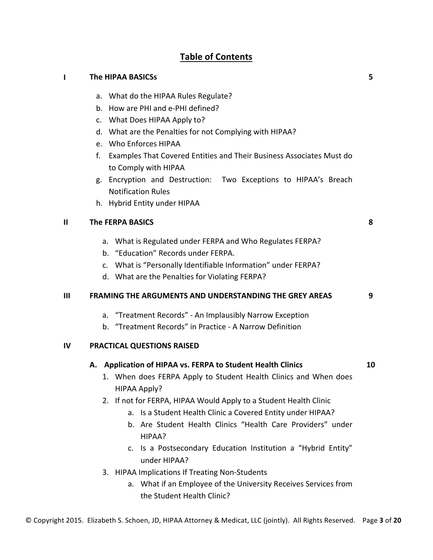## **Table of Contents**

## **I** The HIPAA BASICSs a. What do the HIPAA Rules Regulate? b. How are PHI and e-PHI defined? c. What Does HIPAA Apply to? d. What are the Penalties for not Complying with HIPAA? e. Who Enforces HIPAA f. Examples That Covered Entities and Their Business Associates Must do to Comply with HIPAA g. Encryption and Destruction: Two Exceptions to HIPAA's Breach Notification Rules h. Hybrid Entity under HIPAA **5 II** The FERPA BASICS a. What is Regulated under FERPA and Who Regulates FERPA? b. "Education" Records under FERPA. c. What is "Personally Identifiable Information" under FERPA? d. What are the Penalties for Violating FERPA? **8 III FRAMING THE ARGUMENTS AND UNDERSTANDING THE GREY AREAS** a. "Treatment Records" - An Implausibly Narrow Exception b. "Treatment Records" in Practice - A Narrow Definition **9 IV PRACTICAL QUESTIONS RAISED A. Application of HIPAA vs. FERPA to Student Health Clinics** 1. When does FERPA Apply to Student Health Clinics and When does HIPAA Apply? 2. If not for FERPA, HIPAA Would Apply to a Student Health Clinic a. Is a Student Health Clinic a Covered Entity under HIPAA? b. Are Student Health Clinics "Health Care Providers" under HIPAA? c. Is a Postsecondary Education Institution a "Hybrid Entity" under HIPAA? 3. HIPAA Implications If Treating Non-Students a. What if an Employee of the University Receives Services from the Student Health Clinic? **10**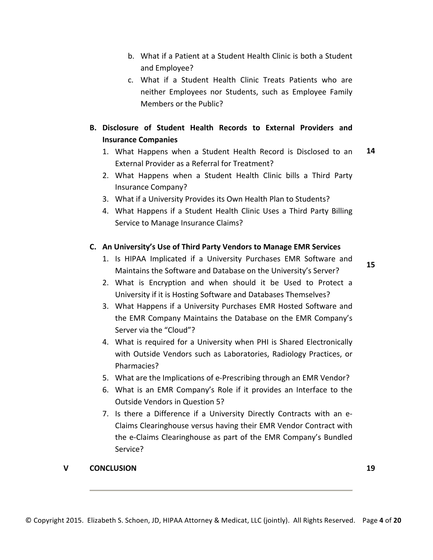- b. What if a Patient at a Student Health Clinic is both a Student and Employee?
- c. What if a Student Health Clinic Treats Patients who are neither Employees nor Students, such as Employee Family Members or the Public?

## **B. Disclosure of Student Health Records to External Providers and Insurance Companies**

- 1. What Happens when a Student Health Record is Disclosed to an External Provider as a Referral for Treatment? **14**
- 2. What Happens when a Student Health Clinic bills a Third Party Insurance Company?
- 3. What if a University Provides its Own Health Plan to Students?
- 4. What Happens if a Student Health Clinic Uses a Third Party Billing Service to Manage Insurance Claims?

#### **C. An University's Use of Third Party Vendors to Manage EMR Services**

1. Is HIPAA Implicated if a University Purchases EMR Software and Maintains the Software and Database on the University's Server?

**15**

- 2. What is Encryption and when should it be Used to Protect a University if it is Hosting Software and Databases Themselves?
- 3. What Happens if a University Purchases EMR Hosted Software and the EMR Company Maintains the Database on the EMR Company's Server via the "Cloud"?
- 4. What is required for a University when PHI is Shared Electronically with Outside Vendors such as Laboratories, Radiology Practices, or Pharmacies?
- 5. What are the Implications of e-Prescribing through an EMR Vendor?
- 6. What is an EMR Company's Role if it provides an Interface to the Outside Vendors in Question 5?
- 7. Is there a Difference if a University Directly Contracts with an e-Claims Clearinghouse versus having their EMR Vendor Contract with the e-Claims Clearinghouse as part of the EMR Company's Bundled Service?

#### **V CONCLUSION 19**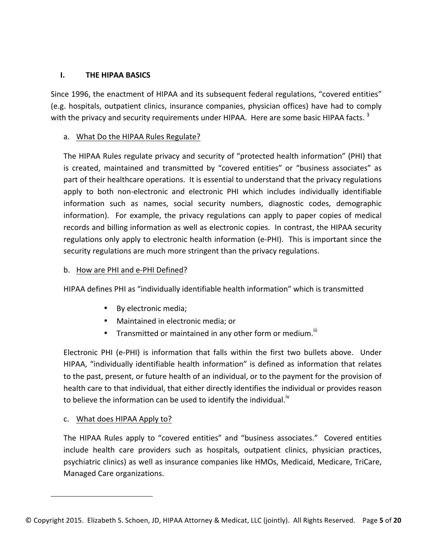#### **I.** THE HIPAA BASICS

Since 1996, the enactment of HIPAA and its subsequent federal regulations, "covered entities" (e.g. hospitals, outpatient clinics, insurance companies, physician offices) have had to comply with the privacy and security requirements under HIPAA. Here are some basic HIPAA facts.<sup>3</sup>

#### a. What Do the HIPAA Rules Regulate?

The HIPAA Rules regulate privacy and security of "protected health information" (PHI) that is created, maintained and transmitted by "covered entities" or "business associates" as part of their healthcare operations. It is essential to understand that the privacy regulations apply to both non-electronic and electronic PHI which includes individually identifiable information such as names, social security numbers, diagnostic codes, demographic information). For example, the privacy regulations can apply to paper copies of medical records and billing information as well as electronic copies. In contrast, the HIPAA security regulations only apply to electronic health information (e-PHI). This is important since the security regulations are much more stringent than the privacy regulations.

#### b. How are PHI and e-PHI Defined?

HIPAA defines PHI as "individually identifiable health information" which is transmitted

- By electronic media;
- Maintained in electronic media; or
- Transmitted or maintained in any other form or medium. $^{\text{III}}$

Electronic PHI (e-PHI) is information that falls within the first two bullets above. Under HIPAA, "individually identifiable health information" is defined as information that relates to the past, present, or future health of an individual, or to the payment for the provision of health care to that individual, that either directly identifies the individual or provides reason to believe the information can be used to identify the individual.<sup> $v$ </sup>

#### c. What does HIPAA Apply to?

<u> Andrew Maria (1989)</u>

The HIPAA Rules apply to "covered entities" and "business associates." Covered entities include health care providers such as hospitals, outpatient clinics, physician practices, psychiatric clinics) as well as insurance companies like HMOs, Medicaid, Medicare, TriCare, Managed Care organizations.

<sup>©</sup> Copyright 2015. Elizabeth S. Schoen, JD, HIPAA Attorney & Medicat, LLC (jointly). All Rights Reserved. Page 5 of 20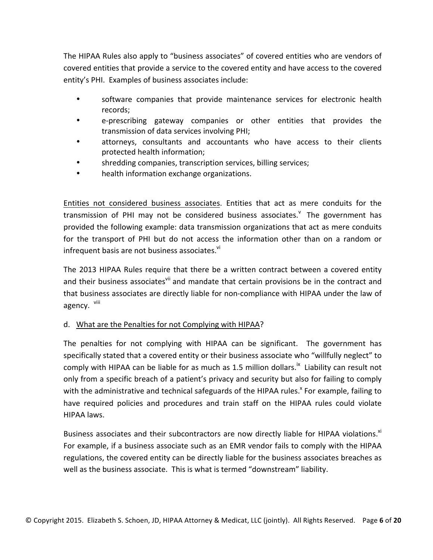The HIPAA Rules also apply to "business associates" of covered entities who are vendors of covered entities that provide a service to the covered entity and have access to the covered entity's PHI. Examples of business associates include:

- software companies that provide maintenance services for electronic health records;
- e-prescribing gateway companies or other entities that provides the transmission of data services involving PHI;
- attorneys, consultants and accountants who have access to their clients protected health information;
- shredding companies, transcription services, billing services;
- health information exchange organizations.

Entities not considered business associates. Entities that act as mere conduits for the transmission of PHI may not be considered business associates.<sup>V</sup> The government has provided the following example: data transmission organizations that act as mere conduits for the transport of PHI but do not access the information other than on a random or infrequent basis are not business associates.<sup>vi</sup>

The 2013 HIPAA Rules require that there be a written contract between a covered entity and their business associates<sup>vii</sup> and mandate that certain provisions be in the contract and that business associates are directly liable for non-compliance with HIPAA under the law of agency. <sup>viii</sup>

#### d. What are the Penalties for not Complying with HIPAA?

The penalties for not complying with HIPAA can be significant. The government has specifically stated that a covered entity or their business associate who "willfully neglect" to comply with HIPAA can be liable for as much as 1.5 million dollars.<sup>ix</sup> Liability can result not only from a specific breach of a patient's privacy and security but also for failing to comply with the administrative and technical safeguards of the HIPAA rules.<sup>x</sup> For example, failing to have required policies and procedures and train staff on the HIPAA rules could violate HIPAA laws. 

Business associates and their subcontractors are now directly liable for HIPAA violations.<sup>xi</sup> For example, if a business associate such as an EMR vendor fails to comply with the HIPAA regulations, the covered entity can be directly liable for the business associates breaches as well as the business associate. This is what is termed "downstream" liability.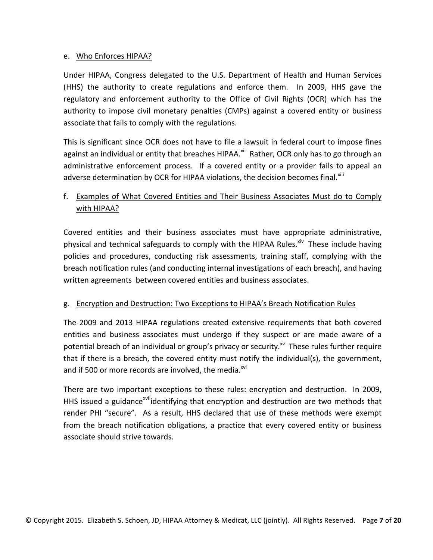#### e. Who Enforces HIPAA?

Under HIPAA, Congress delegated to the U.S. Department of Health and Human Services (HHS) the authority to create regulations and enforce them. In 2009, HHS gave the regulatory and enforcement authority to the Office of Civil Rights (OCR) which has the authority to impose civil monetary penalties (CMPs) against a covered entity or business associate that fails to comply with the regulations.

This is significant since OCR does not have to file a lawsuit in federal court to impose fines against an individual or entity that breaches HIPAA.<sup>xii</sup> Rather, OCR only has to go through an administrative enforcement process. If a covered entity or a provider fails to appeal an adverse determination by OCR for HIPAA violations, the decision becomes final.<sup>xiii</sup>

## f. Examples of What Covered Entities and Their Business Associates Must do to Comply with HIPAA?

Covered entities and their business associates must have appropriate administrative, physical and technical safeguards to comply with the HIPAA Rules.<sup>xiv</sup> These include having policies and procedures, conducting risk assessments, training staff, complying with the breach notification rules (and conducting internal investigations of each breach), and having written agreements between covered entities and business associates.

#### g. Encryption and Destruction: Two Exceptions to HIPAA's Breach Notification Rules

The 2009 and 2013 HIPAA regulations created extensive requirements that both covered entities and business associates must undergo if they suspect or are made aware of a potential breach of an individual or group's privacy or security. $^{x}$  These rules further require that if there is a breach, the covered entity must notify the individual(s), the government, and if 500 or more records are involved, the media.<sup>xvi</sup>

There are two important exceptions to these rules: encryption and destruction. In 2009, HHS issued a guidance<sup>xvii</sup>identifying that encryption and destruction are two methods that render PHI "secure". As a result, HHS declared that use of these methods were exempt from the breach notification obligations, a practice that every covered entity or business associate should strive towards.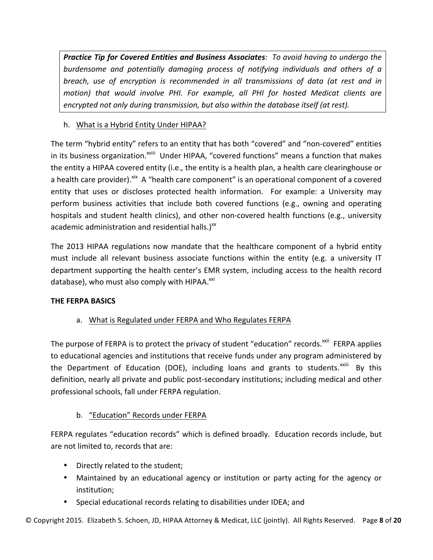**Practice Tip for Covered Entities and Business Associates**: To avoid having to undergo the burdensome and potentially damaging process of notifying individuals and others of a *breach, use of encryption is recommended in all transmissions of data (at rest and in motion)* that would involve PHI. For example, all PHI for hosted Medicat clients are encrypted not only during transmission, but also within the database itself (at rest).

## h. What is a Hybrid Entity Under HIPAA?

The term "hybrid entity" refers to an entity that has both "covered" and "non-covered" entities in its business organization.<sup>xviii</sup> Under HIPAA, "covered functions" means a function that makes the entity a HIPAA covered entity (i.e., the entity is a health plan, a health care clearinghouse or a health care provider). Xix A "health care component" is an operational component of a covered entity that uses or discloses protected health information. For example: a University may perform business activities that include both covered functions (e.g., owning and operating hospitals and student health clinics), and other non-covered health functions (e.g., university academic administration and residential halls.) $^{xx}$ 

The 2013 HIPAA regulations now mandate that the healthcare component of a hybrid entity must include all relevant business associate functions within the entity (e.g. a university IT department supporting the health center's EMR system, including access to the health record database), who must also comply with HIPAA.<sup>xxi</sup>

## **THE FERPA BASICS**

## a. What is Regulated under FERPA and Who Regulates FERPA

The purpose of FERPA is to protect the privacy of student "education" records.<sup>xxii</sup> FERPA applies to educational agencies and institutions that receive funds under any program administered by the Department of Education (DOE), including loans and grants to students.<sup>xxiii</sup> By this definition, nearly all private and public post-secondary institutions; including medical and other professional schools, fall under FERPA regulation.

## b. "Education" Records under FERPA

FERPA regulates "education records" which is defined broadly. Education records include, but are not limited to, records that are:

- Directly related to the student;
- Maintained by an educational agency or institution or party acting for the agency or institution;
- Special educational records relating to disabilities under IDEA; and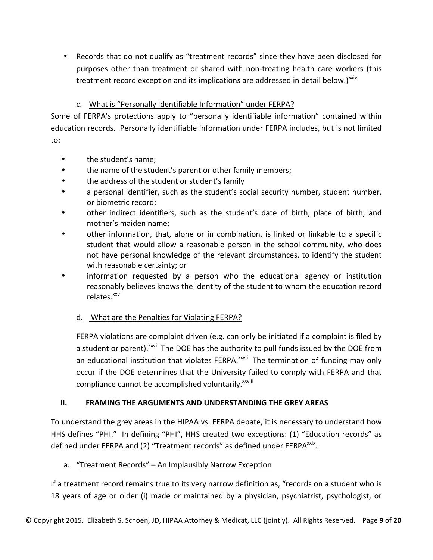• Records that do not qualify as "treatment records" since they have been disclosed for purposes other than treatment or shared with non-treating health care workers (this treatment record exception and its implications are addressed in detail below.) $x_{av}$ 

## c. What is "Personally Identifiable Information" under FERPA?

Some of FERPA's protections apply to "personally identifiable information" contained within education records. Personally identifiable information under FERPA includes, but is not limited to:

- the student's name;
- the name of the student's parent or other family members;
- the address of the student or student's family
- a personal identifier, such as the student's social security number, student number, or biometric record;
- other indirect identifiers, such as the student's date of birth, place of birth, and mother's maiden name;
- other information, that, alone or in combination, is linked or linkable to a specific student that would allow a reasonable person in the school community, who does not have personal knowledge of the relevant circumstances, to identify the student with reasonable certainty; or
- information requested by a person who the educational agency or institution reasonably believes knows the identity of the student to whom the education record  $relates.$ <sup>xxv</sup>

#### d. What are the Penalties for Violating FERPA?

FERPA violations are complaint driven (e.g. can only be initiated if a complaint is filed by a student or parent).<sup>xxvi</sup> The DOE has the authority to pull funds issued by the DOE from an educational institution that violates FERPA.<sup>xxvii</sup> The termination of funding may only occur if the DOE determines that the University failed to comply with FERPA and that compliance cannot be accomplished voluntarily.<sup>xxviii</sup>

#### **II. FRAMING THE ARGUMENTS AND UNDERSTANDING THE GREY AREAS**

To understand the grey areas in the HIPAA vs. FERPA debate, it is necessary to understand how HHS defines "PHI." In defining "PHI", HHS created two exceptions: (1) "Education records" as defined under FERPA and (2) "Treatment records" as defined under FERPA<sup>xxix</sup>.

#### a. "Treatment Records" – An Implausibly Narrow Exception

If a treatment record remains true to its very narrow definition as, "records on a student who is 18 years of age or older (i) made or maintained by a physician, psychiatrist, psychologist, or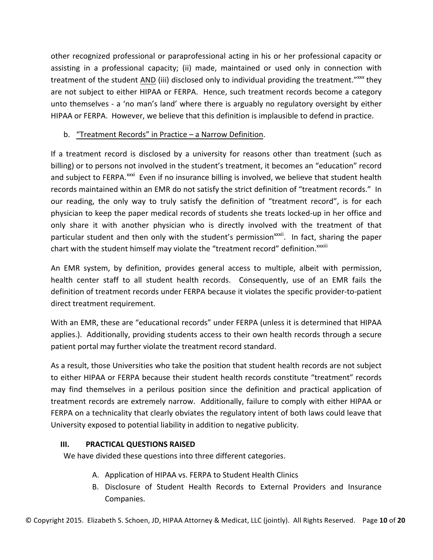other recognized professional or paraprofessional acting in his or her professional capacity or assisting in a professional capacity; (ii) made, maintained or used only in connection with treatment of the student AND (iii) disclosed only to individual providing the treatment."<sup>xxx</sup> they are not subject to either HIPAA or FERPA. Hence, such treatment records become a category unto themselves - a 'no man's land' where there is arguably no regulatory oversight by either HIPAA or FERPA. However, we believe that this definition is implausible to defend in practice.

## b. "Treatment Records" in Practice  $-$  a Narrow Definition.

If a treatment record is disclosed by a university for reasons other than treatment (such as billing) or to persons not involved in the student's treatment, it becomes an "education" record and subject to FERPA.<sup>xxxi</sup> Even if no insurance billing is involved, we believe that student health records maintained within an EMR do not satisfy the strict definition of "treatment records." In our reading, the only way to truly satisfy the definition of "treatment record", is for each physician to keep the paper medical records of students she treats locked-up in her office and only share it with another physician who is directly involved with the treatment of that particular student and then only with the student's permission<sup>xxxii</sup>. In fact, sharing the paper chart with the student himself may violate the "treatment record" definition.<sup>xxxiii</sup>

An EMR system, by definition, provides general access to multiple, albeit with permission, health center staff to all student health records. Consequently, use of an EMR fails the definition of treatment records under FERPA because it violates the specific provider-to-patient direct treatment requirement.

With an EMR, these are "educational records" under FERPA (unless it is determined that HIPAA applies.). Additionally, providing students access to their own health records through a secure patient portal may further violate the treatment record standard.

As a result, those Universities who take the position that student health records are not subject to either HIPAA or FERPA because their student health records constitute "treatment" records may find themselves in a perilous position since the definition and practical application of treatment records are extremely narrow. Additionally, failure to comply with either HIPAA or FERPA on a technicality that clearly obviates the regulatory intent of both laws could leave that University exposed to potential liability in addition to negative publicity.

## **III. PRACTICAL QUESTIONS RAISED**

We have divided these questions into three different categories.

- A. Application of HIPAA vs. FERPA to Student Health Clinics
- B. Disclosure of Student Health Records to External Providers and Insurance Companies.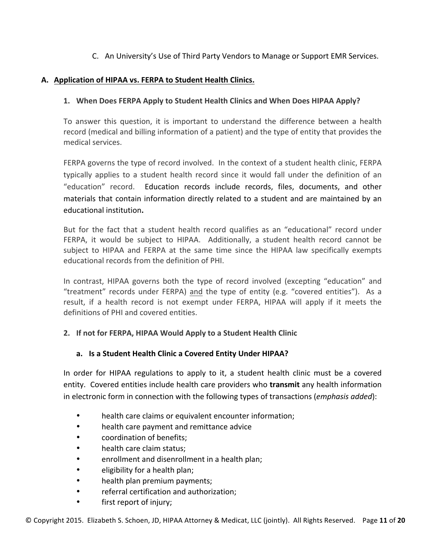## C. An University's Use of Third Party Vendors to Manage or Support EMR Services.

#### A. Application of HIPAA vs. FERPA to Student Health Clinics.

#### **1.** When Does FERPA Apply to Student Health Clinics and When Does HIPAA Apply?

To answer this question, it is important to understand the difference between a health record (medical and billing information of a patient) and the type of entity that provides the medical services.

FERPA governs the type of record involved. In the context of a student health clinic, FERPA typically applies to a student health record since it would fall under the definition of an "education" record. Education records include records, files, documents, and other materials that contain information directly related to a student and are maintained by an educational institution**.**

But for the fact that a student health record qualifies as an "educational" record under FERPA, it would be subject to HIPAA. Additionally, a student health record cannot be subject to HIPAA and FERPA at the same time since the HIPAA law specifically exempts educational records from the definition of PHI.

In contrast, HIPAA governs both the type of record involved (excepting "education" and "treatment" records under FERPA) and the type of entity (e.g. "covered entities"). As a result, if a health record is not exempt under FERPA, HIPAA will apply if it meets the definitions of PHI and covered entities.

#### 2. If not for FERPA, HIPAA Would Apply to a Student Health Clinic

#### a. Is a Student Health Clinic a Covered Entity Under HIPAA?

In order for HIPAA regulations to apply to it, a student health clinic must be a covered entity. Covered entities include health care providers who transmit any health information in electronic form in connection with the following types of transactions (*emphasis added*):

- health care claims or equivalent encounter information;
- health care payment and remittance advice
- coordination of benefits:
- health care claim status;
- enrollment and disenrollment in a health plan;
- eligibility for a health plan;
- health plan premium payments;
- referral certification and authorization;
- first report of injury;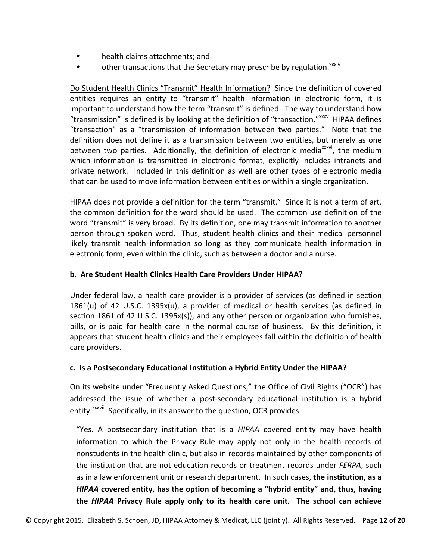- health claims attachments; and
- other transactions that the Secretary may prescribe by regulation.<sup>xxxiv</sup>

Do Student Health Clinics "Transmit" Health Information? Since the definition of covered entities requires an entity to "transmit" health information in electronic form, it is important to understand how the term "transmit" is defined. The way to understand how "transmission" is defined is by looking at the definition of "transaction."<sup>xxxv</sup> HIPAA defines "transaction" as a "transmission of information between two parties." Note that the definition does not define it as a transmission between two entities, but merely as one between two parties. Additionally, the definition of electronic media<sup>xxxvi</sup>, the medium which information is transmitted in electronic format, explicitly includes intranets and private network. Included in this definition as well are other types of electronic media that can be used to move information between entities or within a single organization.

HIPAA does not provide a definition for the term "transmit." Since it is not a term of art, the common definition for the word should be used. The common use definition of the word "transmit" is very broad. By its definition, one may transmit information to another person through spoken word. Thus, student health clinics and their medical personnel likely transmit health information so long as they communicate health information in electronic form, even within the clinic, such as between a doctor and a nurse.

#### **b.** Are Student Health Clinics Health Care Providers Under HIPAA?

Under federal law, a health care provider is a provider of services (as defined in section 1861(u) of 42 U.S.C. 1395x(u), a provider of medical or health services (as defined in section 1861 of 42 U.S.C. 1395 $x(s)$ , and any other person or organization who furnishes, bills, or is paid for health care in the normal course of business. By this definition, it appears that student health clinics and their employees fall within the definition of health care providers.

#### **c. Is a Postsecondary Educational Institution a Hybrid Entity Under the HIPAA?**

On its website under "Frequently Asked Questions," the Office of Civil Rights ("OCR") has addressed the issue of whether a post-secondary educational institution is a hybrid entity.<sup>xxxvii</sup> Specifically, in its answer to the question, OCR provides:

"Yes. A postsecondary institution that is a *HIPAA* covered entity may have health information to which the Privacy Rule may apply not only in the health records of nonstudents in the health clinic, but also in records maintained by other components of the institution that are not education records or treatment records under *FERPA*, such as in a law enforcement unit or research department. In such cases, the institution, as a *HIPAA* covered entity, has the option of becoming a "hybrid entity" and, thus, having **the** *HIPAA* **Privacy Rule apply only to its health care unit. The school can achieve**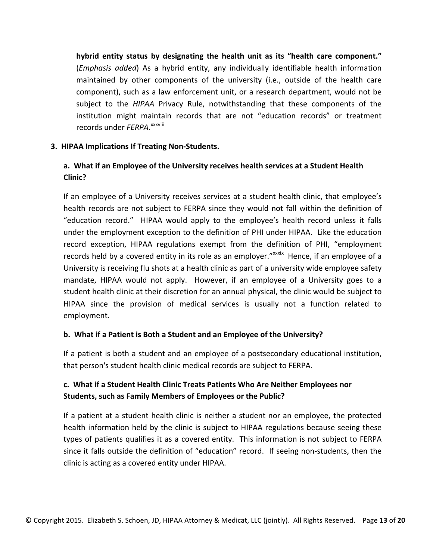hybrid entity status by designating the health unit as its "health care component." (*Emphasis added*) As a hybrid entity, any individually identifiable health information maintained by other components of the university (i.e., outside of the health care component), such as a law enforcement unit, or a research department, would not be subject to the *HIPAA* Privacy Rule, notwithstanding that these components of the institution might maintain records that are not "education records" or treatment records under FERPA. XXXVIII

#### **3. HIPAA Implications If Treating Non-Students.**

## **a.** What if an Employee of the University receives health services at a Student Health **Clinic?**

If an employee of a University receives services at a student health clinic, that employee's health records are not subject to FERPA since they would not fall within the definition of "education record." HIPAA would apply to the employee's health record unless it falls under the employment exception to the definition of PHI under HIPAA. Like the education record exception, HIPAA regulations exempt from the definition of PHI, "employment records held by a covered entity in its role as an employer."xxxix Hence, if an employee of a University is receiving flu shots at a health clinic as part of a university wide employee safety mandate, HIPAA would not apply. However, if an employee of a University goes to a student health clinic at their discretion for an annual physical, the clinic would be subject to HIPAA since the provision of medical services is usually not a function related to employment. 

#### **b.** What if a Patient is Both a Student and an Employee of the University?

If a patient is both a student and an employee of a postsecondary educational institution, that person's student health clinic medical records are subject to FERPA.

## c. What if a Student Health Clinic Treats Patients Who Are Neither Employees nor **Students, such as Family Members of Employees or the Public?**

If a patient at a student health clinic is neither a student nor an employee, the protected health information held by the clinic is subject to HIPAA regulations because seeing these types of patients qualifies it as a covered entity. This information is not subject to FERPA since it falls outside the definition of "education" record. If seeing non-students, then the clinic is acting as a covered entity under HIPAA.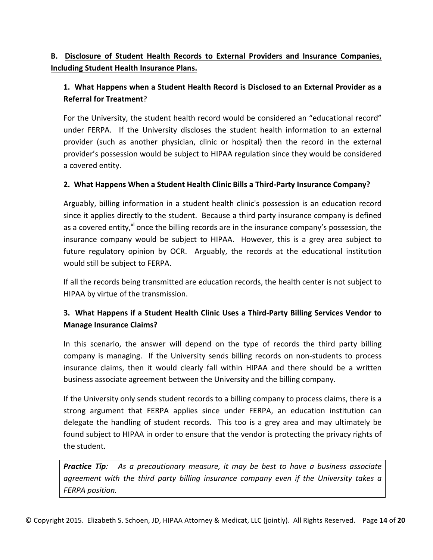## **B.** Disclosure of Student Health Records to External Providers and Insurance Companies, **Including Student Health Insurance Plans.**

## 1. What Happens when a Student Health Record is Disclosed to an External Provider as a **Referral for Treatment?**

For the University, the student health record would be considered an "educational record" under FERPA. If the University discloses the student health information to an external provider (such as another physician, clinic or hospital) then the record in the external provider's possession would be subject to HIPAA regulation since they would be considered a covered entity.

## **2. What Happens When a Student Health Clinic Bills a Third-Party Insurance Company?**

Arguably, billing information in a student health clinic's possession is an education record since it applies directly to the student. Because a third party insurance company is defined as a covered entity,<sup>xl</sup> once the billing records are in the insurance company's possession, the insurance company would be subject to HIPAA. However, this is a grey area subject to future regulatory opinion by OCR. Arguably, the records at the educational institution would still be subject to FERPA.

If all the records being transmitted are education records, the health center is not subject to HIPAA by virtue of the transmission.

## **3. What Happens if a Student Health Clinic Uses a Third-Party Billing Services Vendor to Manage Insurance Claims?**

In this scenario, the answer will depend on the type of records the third party billing company is managing. If the University sends billing records on non-students to process insurance claims, then it would clearly fall within HIPAA and there should be a written business associate agreement between the University and the billing company.

If the University only sends student records to a billing company to process claims, there is a strong argument that FERPA applies since under FERPA, an education institution can delegate the handling of student records. This too is a grey area and may ultimately be found subject to HIPAA in order to ensure that the vendor is protecting the privacy rights of the student.

**Practice Tip**: As a precautionary measure, it may be best to have a business associate agreement with the third party billing insurance company even if the University takes a *FERPA position.*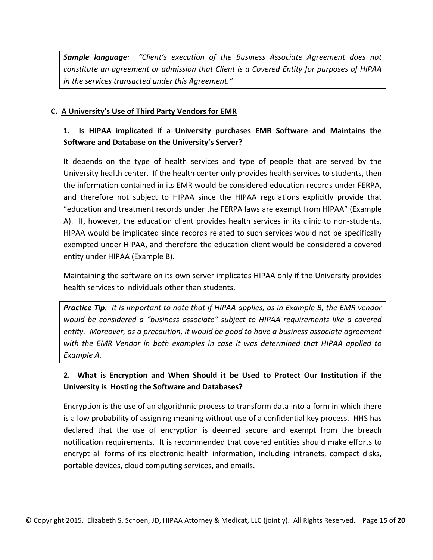**Sample language**: "Client's execution of the Business Associate Agreement does not *constitute an agreement or admission that Client is a Covered Entity for purposes of HIPAA in the services transacted under this Agreement."* 

#### **C. A University's Use of Third Party Vendors for EMR**

## 1. Is HIPAA implicated if a University purchases EMR Software and Maintains the **Software and Database on the University's Server?**

It depends on the type of health services and type of people that are served by the University health center. If the health center only provides health services to students, then the information contained in its EMR would be considered education records under FERPA, and therefore not subject to HIPAA since the HIPAA regulations explicitly provide that "education and treatment records under the FERPA laws are exempt from HIPAA" (Example A). If, however, the education client provides health services in its clinic to non-students, HIPAA would be implicated since records related to such services would not be specifically exempted under HIPAA, and therefore the education client would be considered a covered entity under HIPAA (Example B).

Maintaining the software on its own server implicates HIPAA only if the University provides health services to individuals other than students.

**Practice Tip**: It is important to note that if HIPAA applies, as in Example B, the EMR vendor *would be considered a "business associate"* subject to HIPAA requirements like a covered *entity.* Moreover, as a precaution, it would be good to have a business associate agreement with the EMR Vendor in both examples in case it was determined that HIPAA applied to *Example A.*

## **2.** What is Encryption and When Should it be Used to Protect Our Institution if the University is Hosting the Software and Databases?

Encryption is the use of an algorithmic process to transform data into a form in which there is a low probability of assigning meaning without use of a confidential key process. HHS has declared that the use of encryption is deemed secure and exempt from the breach notification requirements. It is recommended that covered entities should make efforts to encrypt all forms of its electronic health information, including intranets, compact disks, portable devices, cloud computing services, and emails.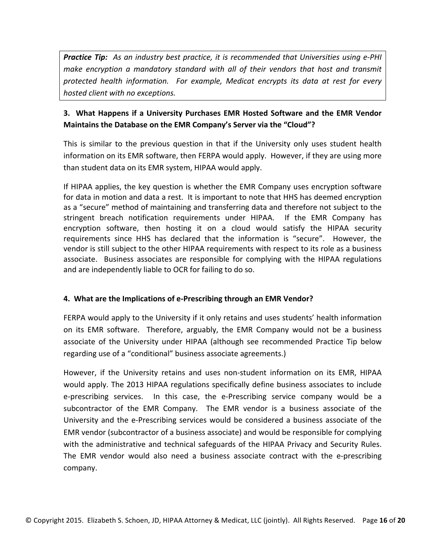**Practice Tip:** As an industry best practice, it is recommended that Universities using e-PHI *make encryption a mandatory standard with all of their vendors that host and transmit* protected health information. For example, Medicat encrypts its data at rest for every *hosted client with no exceptions.*

## **3. What Happens if a University Purchases EMR Hosted Software and the EMR Vendor Maintains the Database on the EMR Company's Server via the "Cloud"?**

This is similar to the previous question in that if the University only uses student health information on its EMR software, then FERPA would apply. However, if they are using more than student data on its EMR system, HIPAA would apply.

If HIPAA applies, the key question is whether the EMR Company uses encryption software for data in motion and data a rest. It is important to note that HHS has deemed encryption as a "secure" method of maintaining and transferring data and therefore not subject to the stringent breach notification requirements under HIPAA. If the EMR Company has encryption software, then hosting it on a cloud would satisfy the HIPAA security requirements since HHS has declared that the information is "secure". However, the vendor is still subject to the other HIPAA requirements with respect to its role as a business associate. Business associates are responsible for complying with the HIPAA regulations and are independently liable to OCR for failing to do so.

#### 4. What are the Implications of e-Prescribing through an EMR Vendor?

FERPA would apply to the University if it only retains and uses students' health information on its EMR software. Therefore, arguably, the EMR Company would not be a business associate of the University under HIPAA (although see recommended Practice Tip below regarding use of a "conditional" business associate agreements.)

However, if the University retains and uses non-student information on its EMR, HIPAA would apply. The 2013 HIPAA regulations specifically define business associates to include e-prescribing services. In this case, the e-Prescribing service company would be a subcontractor of the EMR Company. The EMR vendor is a business associate of the University and the e-Prescribing services would be considered a business associate of the EMR vendor (subcontractor of a business associate) and would be responsible for complying with the administrative and technical safeguards of the HIPAA Privacy and Security Rules. The EMR vendor would also need a business associate contract with the e-prescribing company.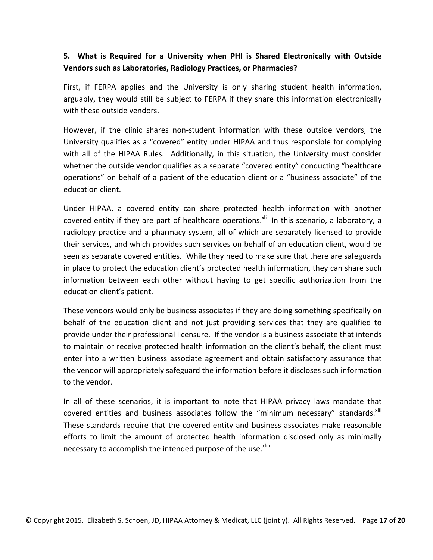## **5.** What is Required for a University when PHI is Shared Electronically with Outside **Vendors such as Laboratories, Radiology Practices, or Pharmacies?**

First, if FERPA applies and the University is only sharing student health information, arguably, they would still be subject to FERPA if they share this information electronically with these outside vendors.

However, if the clinic shares non-student information with these outside vendors, the University qualifies as a "covered" entity under HIPAA and thus responsible for complying with all of the HIPAA Rules. Additionally, in this situation, the University must consider whether the outside vendor qualifies as a separate "covered entity" conducting "healthcare operations" on behalf of a patient of the education client or a "business associate" of the education client. 

Under HIPAA, a covered entity can share protected health information with another covered entity if they are part of healthcare operations.<sup>xii</sup> In this scenario, a laboratory, a radiology practice and a pharmacy system, all of which are separately licensed to provide their services, and which provides such services on behalf of an education client, would be seen as separate covered entities. While they need to make sure that there are safeguards in place to protect the education client's protected health information, they can share such information between each other without having to get specific authorization from the education client's patient.

These vendors would only be business associates if they are doing something specifically on behalf of the education client and not just providing services that they are qualified to provide under their professional licensure. If the vendor is a business associate that intends to maintain or receive protected health information on the client's behalf, the client must enter into a written business associate agreement and obtain satisfactory assurance that the vendor will appropriately safeguard the information before it discloses such information to the vendor.

In all of these scenarios, it is important to note that HIPAA privacy laws mandate that covered entities and business associates follow the "minimum necessary" standards. XIII These standards require that the covered entity and business associates make reasonable efforts to limit the amount of protected health information disclosed only as minimally necessary to accomplish the intended purpose of the use.<sup>xliii</sup>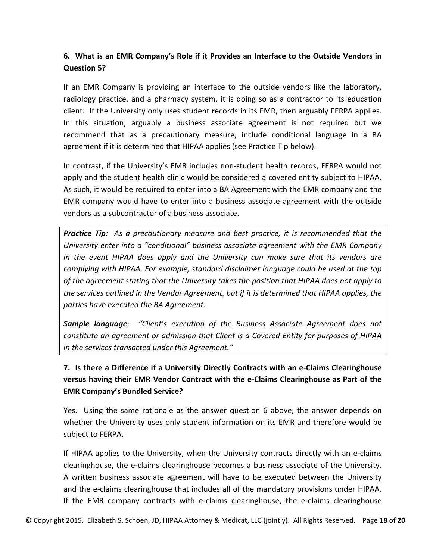## **6.** What is an EMR Company's Role if it Provides an Interface to the Outside Vendors in **Question 5?**

If an EMR Company is providing an interface to the outside vendors like the laboratory, radiology practice, and a pharmacy system, it is doing so as a contractor to its education client. If the University only uses student records in its EMR, then arguably FERPA applies. In this situation, arguably a business associate agreement is not required but we recommend that as a precautionary measure, include conditional language in a BA agreement if it is determined that HIPAA applies (see Practice Tip below).

In contrast, if the University's EMR includes non-student health records, FERPA would not apply and the student health clinic would be considered a covered entity subject to HIPAA. As such, it would be required to enter into a BA Agreement with the EMR company and the EMR company would have to enter into a business associate agreement with the outside vendors as a subcontractor of a business associate.

**Practice Tip**: As a precautionary measure and best practice, it is recommended that the *University enter into a "conditional" business associate agreement with the EMR Company in* the event HIPAA does apply and the University can make sure that its vendors are *complying with HIPAA. For example, standard disclaimer language could be used at the top* of the agreement stating that the University takes the position that HIPAA does not apply to *the services outlined in the Vendor Agreement, but if it is determined that HIPAA applies, the parties have executed the BA Agreement.* 

**Sample language**: "Client's execution of the Business Associate Agreement does not *constitute an agreement or admission that Client is a Covered Entity for purposes of HIPAA in the services transacted under this Agreement."* 

## **7. Is there a Difference if a University Directly Contracts with an e-Claims Clearinghouse versus having their EMR Vendor Contract with the e-Claims Clearinghouse as Part of the EMR Company's Bundled Service?**

Yes. Using the same rationale as the answer question 6 above, the answer depends on whether the University uses only student information on its EMR and therefore would be subject to FERPA.

If HIPAA applies to the University, when the University contracts directly with an e-claims clearinghouse, the e-claims clearinghouse becomes a business associate of the University. A written business associate agreement will have to be executed between the University and the e-claims clearinghouse that includes all of the mandatory provisions under HIPAA. If the EMR company contracts with e-claims clearinghouse, the e-claims clearinghouse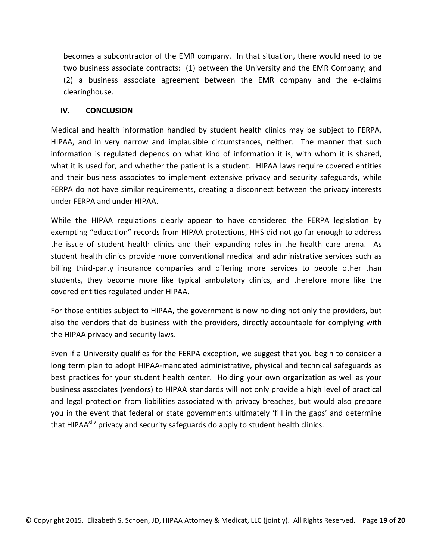becomes a subcontractor of the EMR company. In that situation, there would need to be two business associate contracts: (1) between the University and the EMR Company; and  $(2)$  a business associate agreement between the EMR company and the e-claims clearinghouse.

#### **IV. CONCLUSION**

Medical and health information handled by student health clinics may be subject to FERPA, HIPAA, and in very narrow and implausible circumstances, neither. The manner that such information is regulated depends on what kind of information it is, with whom it is shared, what it is used for, and whether the patient is a student. HIPAA laws require covered entities and their business associates to implement extensive privacy and security safeguards, while FERPA do not have similar requirements, creating a disconnect between the privacy interests under FERPA and under HIPAA.

While the HIPAA regulations clearly appear to have considered the FERPA legislation by exempting "education" records from HIPAA protections, HHS did not go far enough to address the issue of student health clinics and their expanding roles in the health care arena. As student health clinics provide more conventional medical and administrative services such as billing third-party insurance companies and offering more services to people other than students, they become more like typical ambulatory clinics, and therefore more like the covered entities regulated under HIPAA.

For those entities subject to HIPAA, the government is now holding not only the providers, but also the vendors that do business with the providers, directly accountable for complying with the HIPAA privacy and security laws.

Even if a University qualifies for the FERPA exception, we suggest that you begin to consider a long term plan to adopt HIPAA-mandated administrative, physical and technical safeguards as best practices for your student health center. Holding your own organization as well as your business associates (vendors) to HIPAA standards will not only provide a high level of practical and legal protection from liabilities associated with privacy breaches, but would also prepare you in the event that federal or state governments ultimately 'fill in the gaps' and determine that HIPAA<sup>xliv</sup> privacy and security safeguards do apply to student health clinics.